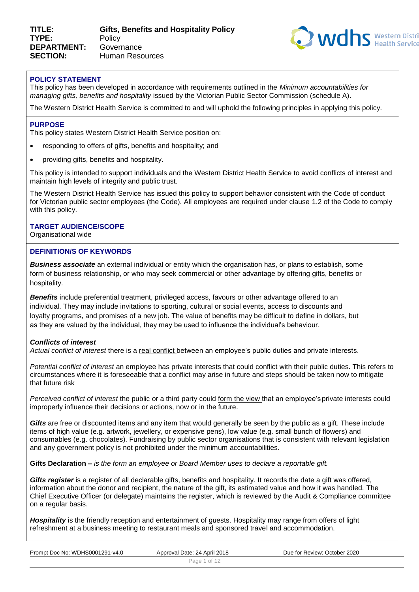

#### **POLICY STATEMENT**

This policy has been developed in accordance with requirements outlined in the *Minimum accountabilities for managing gifts, benefits and hospitality* issued by the Victorian Public Sector Commission (schedule A).

The Western District Health Service is committed to and will uphold the following principles in applying this policy.

#### **PURPOSE**

This policy states Western District Health Service position on:

- responding to offers of gifts, benefits and hospitality; and
- providing gifts, benefits and hospitality.

This policy is intended to support individuals and the Western District Health Service to avoid conflicts of interest and maintain high levels of integrity and public trust.

The Western District Health Service has issued this policy to support behavior consistent with the Code of conduct for Victorian public sector employees (the Code). All employees are required under clause 1.2 of the Code to comply with this policy.

#### **TARGET AUDIENCE/SCOPE**

Organisational wide

#### **DEFINITION/S OF KEYWORDS**

*Business associate* an external individual or entity which the organisation has, or plans to establish, some form of business relationship, or who may seek commercial or other advantage by offering gifts, benefits or hospitality.

**Benefits** include preferential treatment, privileged access, favours or other advantage offered to an individual. They may include invitations to sporting, cultural or social events, access to discounts and loyalty programs, and promises of a new job. The value of benefits may be difficult to define in dollars, but as they are valued by the individual, they may be used to influence the individual's behaviour.

#### *Conflicts of interest*

*Actual conflict of interest* there is a real conflict between an employee's public duties and private interests.

*Potential conflict of interest* an employee has private interests that could conflict with their public duties. This refers to circumstances where it is foreseeable that a conflict may arise in future and steps should be taken now to mitigate that future risk

*Perceived conflict of interest* the public or a third party could form the view that an employee'sprivate interests could improperly influence their decisions or actions, now or in the future.

*Gifts* are free or discounted items and any item that would generally be seen by the public as a gift. These include items of high value (e.g. artwork, jewellery, or expensive pens), low value (e.g. small bunch of flowers) and consumables (e.g. chocolates). Fundraising by public sector organisations that is consistent with relevant legislation and any government policy is not prohibited under the minimum accountabilities.

**Gifts Declaration** *– is the form an employee or Board Member uses to declare a reportable gift.*

*Gifts register* is a register of all declarable gifts, benefits and hospitality. It records the date a gift was offered, information about the donor and recipient, the nature of the gift, its estimated value and how it was handled. The Chief Executive Officer (or delegate) maintains the register, which is reviewed by the Audit & Compliance committee on a regular basis.

*Hospitality* is the friendly reception and entertainment of guests. Hospitality may range from offers of light refreshment at a business meeting to restaurant meals and sponsored travel and accommodation.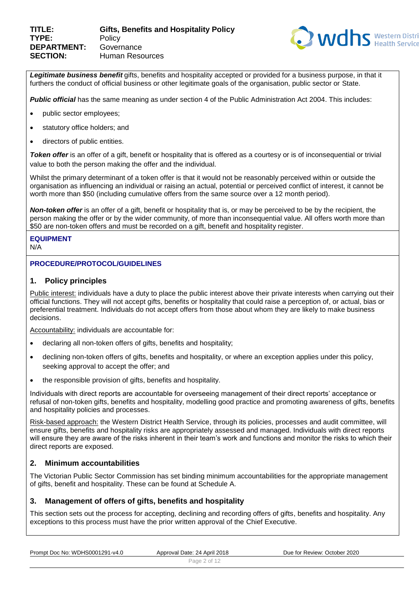

Legitimate business benefit gifts, benefits and hospitality accepted or provided for a business purpose, in that it furthers the conduct of official business or other legitimate goals of the organisation, public sector or State.

*Public official* has the same meaning as under section 4 of the Public Administration Act 2004. This includes:

- public sector employees;
- statutory office holders; and
- directors of public entities.

*Token offer* is an offer of a gift, benefit or hospitality that is offered as a courtesy or is of inconsequential or trivial value to both the person making the offer and the individual.

Whilst the primary determinant of a token offer is that it would not be reasonably perceived within or outside the organisation as influencing an individual or raising an actual, potential or perceived conflict of interest, it cannot be worth more than \$50 (including cumulative offers from the same source over a 12 month period).

*Non-token offer* is an offer of a gift, benefit or hospitality that is, or may be perceived to be by the recipient, the person making the offer or by the wider community, of more than inconsequential value. All offers worth more than \$50 are non-token offers and must be recorded on a gift, benefit and hospitality register.

# **EQUIPMENT**

N/A

# **PROCEDURE/PROTOCOL/GUIDELINES**

# **1. Policy principles**

Public interest: individuals have a duty to place the public interest above their private interests when carrying out their official functions. They will not accept gifts, benefits or hospitality that could raise a perception of, or actual, bias or preferential treatment. Individuals do not accept offers from those about whom they are likely to make business decisions.

Accountability: individuals are accountable for:

- declaring all non-token offers of gifts, benefits and hospitality;
- declining non-token offers of gifts, benefits and hospitality, or where an exception applies under this policy, seeking approval to accept the offer; and
- the responsible provision of gifts, benefits and hospitality.

Individuals with direct reports are accountable for overseeing management of their direct reports' acceptance or refusal of non-token gifts, benefits and hospitality, modelling good practice and promoting awareness of gifts, benefits and hospitality policies and processes.

Risk-based approach: the Western District Health Service, through its policies, processes and audit committee, will ensure gifts, benefits and hospitality risks are appropriately assessed and managed. Individuals with direct reports will ensure they are aware of the risks inherent in their team's work and functions and monitor the risks to which their direct reports are exposed.

# **2. Minimum accountabilities**

The Victorian Public Sector Commission has set binding minimum accountabilities for the appropriate management of gifts, benefit and hospitality. These can be found at Schedule A.

# **3. Management of offers of gifts, benefits and hospitality**

This section sets out the process for accepting, declining and recording offers of gifts, benefits and hospitality. Any exceptions to this process must have the prior written approval of the Chief Executive.

| Prompt Doc No: WDHS0001291-v4.0 | Approval Date: 24 April 2018 | Due for Review: October 2020 |  |
|---------------------------------|------------------------------|------------------------------|--|
|                                 | Page 2 of 12                 |                              |  |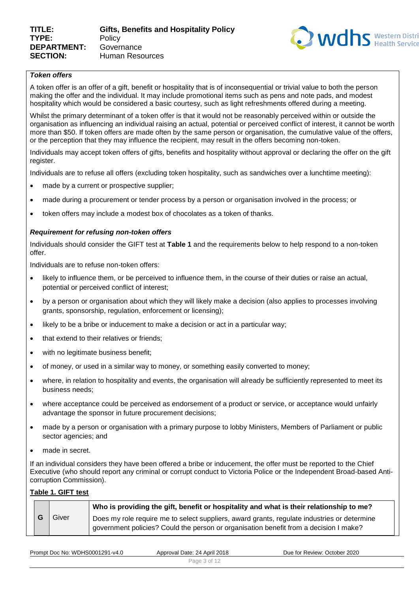

# *Token offers*

A token offer is an offer of a gift, benefit or hospitality that is of inconsequential or trivial value to both the person making the offer and the individual. It may include promotional items such as pens and note pads, and modest hospitality which would be considered a basic courtesy, such as light refreshments offered during a meeting.

Whilst the primary determinant of a token offer is that it would not be reasonably perceived within or outside the organisation as influencing an individual raising an actual, potential or perceived conflict of interest, it cannot be worth more than \$50. If token offers are made often by the same person or organisation, the cumulative value of the offers, or the perception that they may influence the recipient, may result in the offers becoming non-token.

Individuals may accept token offers of gifts, benefits and hospitality without approval or declaring the offer on the gift register.

Individuals are to refuse all offers (excluding token hospitality, such as sandwiches over a lunchtime meeting):

- made by a current or prospective supplier;
- made during a procurement or tender process by a person or organisation involved in the process; or
- token offers may include a modest box of chocolates as a token of thanks.

#### *Requirement for refusing non-token offers*

Individuals should consider the GIFT test at **Table 1** and the requirements below to help respond to a non-token offer.

Individuals are to refuse non-token offers:

- likely to influence them, or be perceived to influence them, in the course of their duties or raise an actual, potential or perceived conflict of interest;
- by a person or organisation about which they will likely make a decision (also applies to processes involving grants, sponsorship, regulation, enforcement or licensing);
- likely to be a bribe or inducement to make a decision or act in a particular way;
- that extend to their relatives or friends;
- with no legitimate business benefit;
- of money, or used in a similar way to money, or something easily converted to money;
- where, in relation to hospitality and events, the organisation will already be sufficiently represented to meet its business needs;
- where acceptance could be perceived as endorsement of a product or service, or acceptance would unfairly advantage the sponsor in future procurement decisions;
- made by a person or organisation with a primary purpose to lobby Ministers, Members of Parliament or public sector agencies; and
- made in secret.

If an individual considers they have been offered a bribe or inducement, the offer must be reported to the Chief Executive (who should report any criminal or corrupt conduct to Victoria Police or the Independent Broad-based Anticorruption Commission).

#### **Table 1. GIFT test**

|       | Who is providing the gift, benefit or hospitality and what is their relationship to me?                                                                                              |
|-------|--------------------------------------------------------------------------------------------------------------------------------------------------------------------------------------|
| Giver | Does my role require me to select suppliers, award grants, regulate industries or determine<br>government policies? Could the person or organisation benefit from a decision I make? |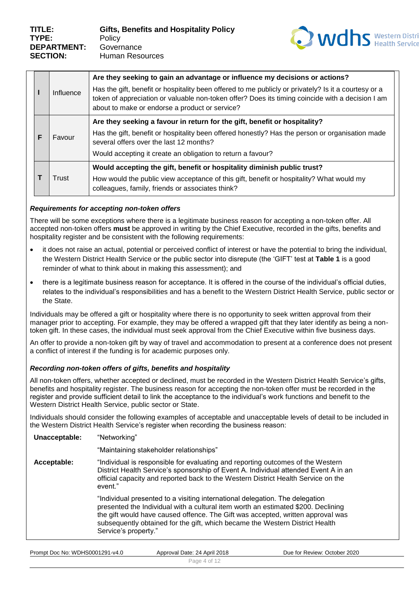

|   | Influence | Are they seeking to gain an advantage or influence my decisions or actions?<br>Has the gift, benefit or hospitality been offered to me publicly or privately? Is it a courtesy or a<br>token of appreciation or valuable non-token offer? Does its timing coincide with a decision I am<br>about to make or endorse a product or service? |
|---|-----------|-------------------------------------------------------------------------------------------------------------------------------------------------------------------------------------------------------------------------------------------------------------------------------------------------------------------------------------------|
| F | Favour    | Are they seeking a favour in return for the gift, benefit or hospitality?<br>Has the gift, benefit or hospitality been offered honestly? Has the person or organisation made<br>several offers over the last 12 months?<br>Would accepting it create an obligation to return a favour?                                                    |
|   | Trust     | Would accepting the gift, benefit or hospitality diminish public trust?<br>How would the public view acceptance of this gift, benefit or hospitality? What would my<br>colleagues, family, friends or associates think?                                                                                                                   |

# *Requirements for accepting non-token offers*

There will be some exceptions where there is a legitimate business reason for accepting a non-token offer. All accepted non-token offers **must** be approved in writing by the Chief Executive, recorded in the gifts, benefits and hospitality register and be consistent with the following requirements:

- it does not raise an actual, potential or perceived conflict of interest or have the potential to bring the individual, the Western District Health Service or the public sector into disrepute (the 'GIFT' test at **Table 1** is a good reminder of what to think about in making this assessment); and
- there is a legitimate business reason for acceptance. It is offered in the course of the individual's official duties, relates to the individual's responsibilities and has a benefit to the Western District Health Service, public sector or the State.

Individuals may be offered a gift or hospitality where there is no opportunity to seek written approval from their manager prior to accepting. For example, they may be offered a wrapped gift that they later identify as being a nontoken gift. In these cases, the individual must seek approval from the Chief Executive within five business days.

An offer to provide a non-token gift by way of travel and accommodation to present at a conference does not present a conflict of interest if the funding is for academic purposes only.

# *Recording non-token offers of gifts, benefits and hospitality*

All non-token offers, whether accepted or declined, must be recorded in the Western District Health Service's gifts, benefits and hospitality register. The business reason for accepting the non-token offer must be recorded in the register and provide sufficient detail to link the acceptance to the individual's work functions and benefit to the Western District Health Service, public sector or State.

Individuals should consider the following examples of acceptable and unacceptable levels of detail to be included in the Western District Health Service's register when recording the business reason:

| Unacceptable: | "Networking"                                                                                                                                                                                                                                                                                                                                                 |  |  |  |  |  |  |
|---------------|--------------------------------------------------------------------------------------------------------------------------------------------------------------------------------------------------------------------------------------------------------------------------------------------------------------------------------------------------------------|--|--|--|--|--|--|
|               | "Maintaining stakeholder relationships"                                                                                                                                                                                                                                                                                                                      |  |  |  |  |  |  |
| Acceptable:   | "Individual is responsible for evaluating and reporting outcomes of the Western<br>District Health Service's sponsorship of Event A. Individual attended Event A in an<br>official capacity and reported back to the Western District Health Service on the<br>event."                                                                                       |  |  |  |  |  |  |
|               | "Individual presented to a visiting international delegation. The delegation<br>presented the Individual with a cultural item worth an estimated \$200. Declining<br>the gift would have caused offence. The Gift was accepted, written approval was<br>subsequently obtained for the gift, which became the Western District Health<br>Service's property." |  |  |  |  |  |  |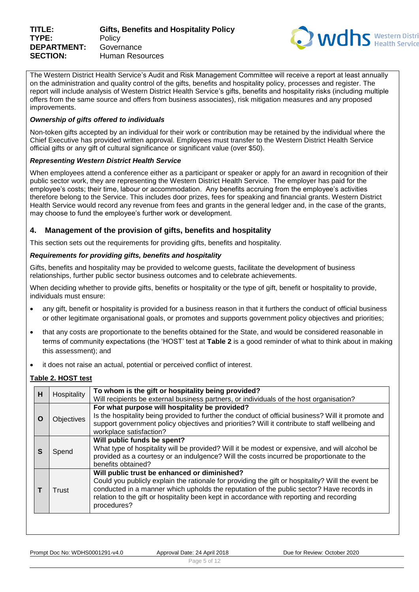

The Western District Health Service's Audit and Risk Management Committee will receive a report at least annually on the administration and quality control of the gifts, benefits and hospitality policy, processes and register. The report will include analysis of Western District Health Service's gifts, benefits and hospitality risks (including multiple offers from the same source and offers from business associates), risk mitigation measures and any proposed improvements.

#### *Ownership of gifts offered to individuals*

Non-token gifts accepted by an individual for their work or contribution may be retained by the individual where the Chief Executive has provided written approval. Employees must transfer to the Western District Health Service official gifts or any gift of cultural significance or significant value (over \$50).

#### *Representing Western District Health Service*

When employees attend a conference either as a participant or speaker or apply for an award in recognition of their public sector work, they are representing the Western District Health Service. The employer has paid for the employee's costs; their time, labour or accommodation. Any benefits accruing from the employee's activities therefore belong to the Service. This includes door prizes, fees for speaking and financial grants. Western District Health Service would record any revenue from fees and grants in the general ledger and, in the case of the grants, may choose to fund the employee's further work or development.

# **4. Management of the provision of gifts, benefits and hospitality**

This section sets out the requirements for providing gifts, benefits and hospitality.

#### *Requirements for providing gifts, benefits and hospitality*

Gifts, benefits and hospitality may be provided to welcome guests, facilitate the development of business relationships, further public sector business outcomes and to celebrate achievements.

When deciding whether to provide gifts, benefits or hospitality or the type of gift, benefit or hospitality to provide, individuals must ensure:

- any gift, benefit or hospitality is provided for a business reason in that it furthers the conduct of official business or other legitimate organisational goals, or promotes and supports government policy objectives and priorities;
- that any costs are proportionate to the benefits obtained for the State, and would be considered reasonable in terms of community expectations (the 'HOST' test at **Table 2** is a good reminder of what to think about in making this assessment); and
- it does not raise an actual, potential or perceived conflict of interest.

# **Table 2. HOST test**

| н | Hospitality       | To whom is the gift or hospitality being provided?                                                                                                                                                                                                                                                                                                       |
|---|-------------------|----------------------------------------------------------------------------------------------------------------------------------------------------------------------------------------------------------------------------------------------------------------------------------------------------------------------------------------------------------|
|   |                   | Will recipients be external business partners, or individuals of the host organisation?                                                                                                                                                                                                                                                                  |
| O | <b>Objectives</b> | For what purpose will hospitality be provided?<br>Is the hospitality being provided to further the conduct of official business? Will it promote and<br>support government policy objectives and priorities? Will it contribute to staff wellbeing and<br>workplace satisfaction?                                                                        |
| S | Spend             | Will public funds be spent?<br>What type of hospitality will be provided? Will it be modest or expensive, and will alcohol be<br>provided as a courtesy or an indulgence? Will the costs incurred be proportionate to the<br>benefits obtained?                                                                                                          |
|   | Trust             | Will public trust be enhanced or diminished?<br>Could you publicly explain the rationale for providing the gift or hospitality? Will the event be<br>conducted in a manner which upholds the reputation of the public sector? Have records in<br>relation to the gift or hospitality been kept in accordance with reporting and recording<br>procedures? |
|   |                   |                                                                                                                                                                                                                                                                                                                                                          |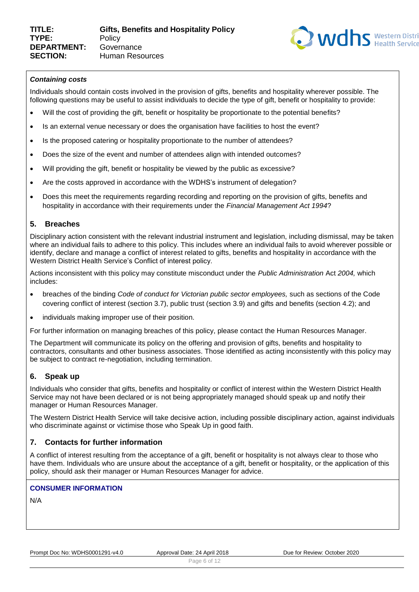

# *Containing costs*

Individuals should contain costs involved in the provision of gifts, benefits and hospitality wherever possible. The following questions may be useful to assist individuals to decide the type of gift, benefit or hospitality to provide:

- Will the cost of providing the gift, benefit or hospitality be proportionate to the potential benefits?
- Is an external venue necessary or does the organisation have facilities to host the event?
- Is the proposed catering or hospitality proportionate to the number of attendees?
- Does the size of the event and number of attendees align with intended outcomes?
- Will providing the gift, benefit or hospitality be viewed by the public as excessive?
- Are the costs approved in accordance with the WDHS's instrument of delegation?
- Does this meet the requirements regarding recording and reporting on the provision of gifts, benefits and hospitality in accordance with their requirements under the *Financial Management Act 1994*?

# **5. Breaches**

Disciplinary action consistent with the relevant industrial instrument and legislation, including dismissal, may be taken where an individual fails to adhere to this policy. This includes where an individual fails to avoid wherever possible or identify, declare and manage a conflict of interest related to gifts, benefits and hospitality in accordance with the Western District Health Service's Conflict of interest policy.

Actions inconsistent with this policy may constitute misconduct under the *Public Administration* Act *2004,* which includes:

- breaches of the binding *Code of conduct for Victorian public sector employees,* such as sections of the Code covering conflict of interest (section 3.7), public trust (section 3.9) and gifts and benefits (section 4.2); and
- individuals making improper use of their position.

For further information on managing breaches of this policy, please contact the Human Resources Manager.

The Department will communicate its policy on the offering and provision of gifts, benefits and hospitality to contractors, consultants and other business associates. Those identified as acting inconsistently with this policy may be subject to contract re-negotiation, including termination.

# **6. Speak up**

Individuals who consider that gifts, benefits and hospitality or conflict of interest within the Western District Health Service may not have been declared or is not being appropriately managed should speak up and notify their manager or Human Resources Manager.

The Western District Health Service will take decisive action, including possible disciplinary action, against individuals who discriminate against or victimise those who Speak Up in good faith.

# **7. Contacts for further information**

A conflict of interest resulting from the acceptance of a gift, benefit or hospitality is not always clear to those who have them. Individuals who are unsure about the acceptance of a gift, benefit or hospitality, or the application of this policy, should ask their manager or Human Resources Manager for advice.

# **CONSUMER INFORMATION**

N/A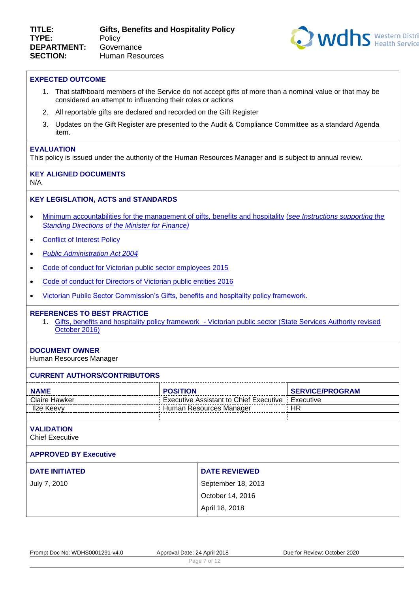

#### **EXPECTED OUTCOME**

- 1. That staff/board members of the Service do not accept gifts of more than a nominal value or that may be considered an attempt to influencing their roles or actions
- 2. All reportable gifts are declared and recorded on the Gift Register
- 3. Updates on the Gift Register are presented to the Audit & Compliance Committee as a standard Agenda item.

#### **EVALUATION**

This policy is issued under the authority of the Human Resources Manager and is subject to annual review.

# **KEY ALIGNED DOCUMENTS**

N/A

#### **KEY LEGISLATION, ACTS and STANDARDS**

- [Minimum accountabilities for the management of gifts, benefits and hospitality](https://vpsc.vic.gov.au/resources/gifts-benefits-and-hospitality-resource-suite/) (*[see Instructions supporting the](https://www.dtf.vic.gov.au/financial-management-government/standing-directions-minister-finance-2016)  [Standing Directions of the Minister for Finance\)](https://www.dtf.vic.gov.au/financial-management-government/standing-directions-minister-finance-2016)*
- [Conflict of Interest Policy](https://system.prompt.org.au/download/document.aspx?id=15711543&code=001F78234135017EF7A0BF8D937901CC)
- *[Public Administration Act 2004](https://vpsc.vic.gov.au/about-vpsc/legislative-framework-the-public-administration-act-2004/)*
- [Code of conduct for Victorian public sector employees 2015](https://vpsc.vic.gov.au/html-resources/code-of-conduct-for-victorian-public-sector-employees/)
- [Code of conduct for Directors of Victorian public entities 2016](https://vpsc.vic.gov.au/html-resources/code-of-conduct-for-directors-of-public-entities/)
- [Victorian Public Sector Commission's Gifts, benefits and hospitality policy framework.](https://vpsc.vic.gov.au/resources/gifts-benefits-and-hospitality-resource-suite/)

#### **REFERENCES TO BEST PRACTICE**

1. Gifts, benefits and hospitality policy framework - [Victorian public sector \(State Services Authority revised](https://vpsc.vic.gov.au/resources/gifts-benefits-and-hospitality-resource-suite/)  [October 2016\)](https://vpsc.vic.gov.au/resources/gifts-benefits-and-hospitality-resource-suite/)

#### **DOCUMENT OWNER**

Human Resources Manager

| <b>CURRENT AUTHORS/CONTRIBUTORS</b>         |                                                 |           |  |  |  |  |  |  |
|---------------------------------------------|-------------------------------------------------|-----------|--|--|--|--|--|--|
| <b>POSITION</b><br><b>NAME</b>              | <b>SERVICE/PROGRAM</b>                          |           |  |  |  |  |  |  |
| <b>Claire Hawker</b>                        | <b>Executive Assistant to Chief Executive</b> : | Executive |  |  |  |  |  |  |
| <b>Ilze Keevy</b>                           | Human Resources Manager                         | HR        |  |  |  |  |  |  |
|                                             |                                                 |           |  |  |  |  |  |  |
| <b>VALIDATION</b><br><b>Chief Executive</b> |                                                 |           |  |  |  |  |  |  |
| <b>APPROVED BY Executive</b>                |                                                 |           |  |  |  |  |  |  |
| <b>DATE INITIATED</b>                       | <b>DATE REVIEWED</b>                            |           |  |  |  |  |  |  |
| July 7, 2010                                | September 18, 2013                              |           |  |  |  |  |  |  |
|                                             | October 14, 2016                                |           |  |  |  |  |  |  |
| April 18, 2018                              |                                                 |           |  |  |  |  |  |  |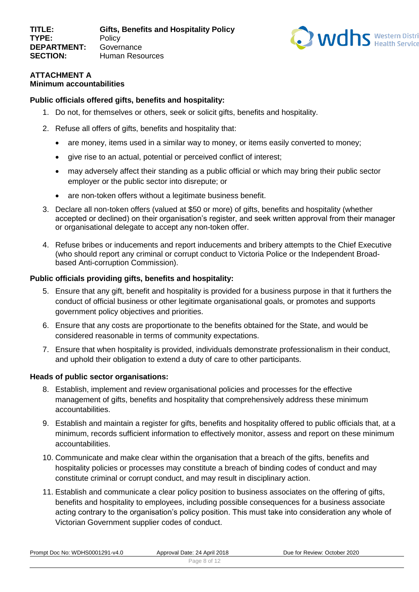

# **ATTACHMENT A Minimum accountabilities**

# **Public officials offered gifts, benefits and hospitality:**

- 1. Do not, for themselves or others, seek or solicit gifts, benefits and hospitality.
- 2. Refuse all offers of gifts, benefits and hospitality that:
	- are money, items used in a similar way to money, or items easily converted to money;
	- give rise to an actual, potential or perceived conflict of interest;
	- may adversely affect their standing as a public official or which may bring their public sector employer or the public sector into disrepute; or
	- are non-token offers without a legitimate business benefit.
- 3. Declare all non-token offers (valued at \$50 or more) of gifts, benefits and hospitality (whether accepted or declined) on their organisation's register, and seek written approval from their manager or organisational delegate to accept any non-token offer.
- 4. Refuse bribes or inducements and report inducements and bribery attempts to the Chief Executive (who should report any criminal or corrupt conduct to Victoria Police or the Independent Broadbased Anti-corruption Commission).

# **Public officials providing gifts, benefits and hospitality:**

- 5. Ensure that any gift, benefit and hospitality is provided for a business purpose in that it furthers the conduct of official business or other legitimate organisational goals, or promotes and supports government policy objectives and priorities.
- 6. Ensure that any costs are proportionate to the benefits obtained for the State, and would be considered reasonable in terms of community expectations.
- 7. Ensure that when hospitality is provided, individuals demonstrate professionalism in their conduct, and uphold their obligation to extend a duty of care to other participants.

# **Heads of public sector organisations:**

- 8. Establish, implement and review organisational policies and processes for the effective management of gifts, benefits and hospitality that comprehensively address these minimum accountabilities.
- 9. Establish and maintain a register for gifts, benefits and hospitality offered to public officials that, at a minimum, records sufficient information to effectively monitor, assess and report on these minimum accountabilities.
- 10. Communicate and make clear within the organisation that a breach of the gifts, benefits and hospitality policies or processes may constitute a breach of binding codes of conduct and may constitute criminal or corrupt conduct, and may result in disciplinary action.
- 11. Establish and communicate a clear policy position to business associates on the offering of gifts, benefits and hospitality to employees, including possible consequences for a business associate acting contrary to the organisation's policy position. This must take into consideration any whole of Victorian Government supplier codes of conduct.

|  | Prompt Doc No: WDHS0001291-v4.0 |
|--|---------------------------------|
|  |                                 |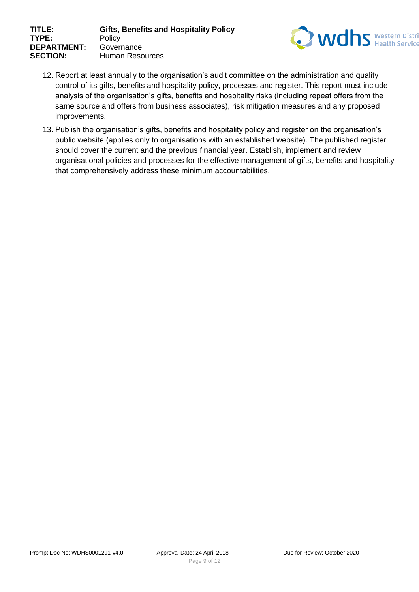

- 12. Report at least annually to the organisation's audit committee on the administration and quality control of its gifts, benefits and hospitality policy, processes and register. This report must include analysis of the organisation's gifts, benefits and hospitality risks (including repeat offers from the same source and offers from business associates), risk mitigation measures and any proposed improvements.
- 13. Publish the organisation's gifts, benefits and hospitality policy and register on the organisation's public website (applies only to organisations with an established website). The published register should cover the current and the previous financial year. Establish, implement and review organisational policies and processes for the effective management of gifts, benefits and hospitality that comprehensively address these minimum accountabilities.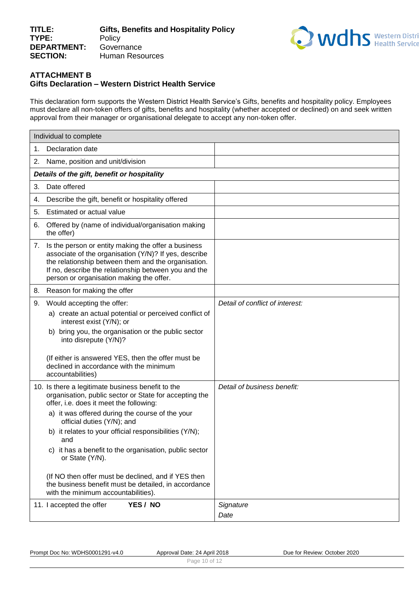

# **ATTACHMENT B Gifts Declaration – Western District Health Service**

This declaration form supports the Western District Health Service's Gifts, benefits and hospitality policy. Employees must declare all non-token offers of gifts, benefits and hospitality (whether accepted or declined) on and seek written approval from their manager or organisational delegate to accept any non-token offer.

|    | Individual to complete                                                                                                                                                                                                                                                                                                                                                                                                                                                                                                                      |                                 |
|----|---------------------------------------------------------------------------------------------------------------------------------------------------------------------------------------------------------------------------------------------------------------------------------------------------------------------------------------------------------------------------------------------------------------------------------------------------------------------------------------------------------------------------------------------|---------------------------------|
| 1. | Declaration date                                                                                                                                                                                                                                                                                                                                                                                                                                                                                                                            |                                 |
| 2. | Name, position and unit/division                                                                                                                                                                                                                                                                                                                                                                                                                                                                                                            |                                 |
|    | Details of the gift, benefit or hospitality                                                                                                                                                                                                                                                                                                                                                                                                                                                                                                 |                                 |
| 3. | Date offered                                                                                                                                                                                                                                                                                                                                                                                                                                                                                                                                |                                 |
| 4. | Describe the gift, benefit or hospitality offered                                                                                                                                                                                                                                                                                                                                                                                                                                                                                           |                                 |
| 5. | Estimated or actual value                                                                                                                                                                                                                                                                                                                                                                                                                                                                                                                   |                                 |
| 6. | Offered by (name of individual/organisation making<br>the offer)                                                                                                                                                                                                                                                                                                                                                                                                                                                                            |                                 |
| 7. | Is the person or entity making the offer a business<br>associate of the organisation (Y/N)? If yes, describe<br>the relationship between them and the organisation.<br>If no, describe the relationship between you and the<br>person or organisation making the offer.                                                                                                                                                                                                                                                                     |                                 |
| 8. | Reason for making the offer                                                                                                                                                                                                                                                                                                                                                                                                                                                                                                                 |                                 |
| 9. | Would accepting the offer:<br>a) create an actual potential or perceived conflict of<br>interest exist (Y/N); or<br>b) bring you, the organisation or the public sector<br>into disrepute (Y/N)?<br>(If either is answered YES, then the offer must be<br>declined in accordance with the minimum<br>accountabilities)                                                                                                                                                                                                                      | Detail of conflict of interest: |
|    | 10. Is there a legitimate business benefit to the<br>organisation, public sector or State for accepting the<br>offer, i.e. does it meet the following:<br>a) it was offered during the course of the your<br>official duties (Y/N); and<br>b) it relates to your official responsibilities (Y/N);<br>and<br>c) it has a benefit to the organisation, public sector<br>or State (Y/N).<br>(If NO then offer must be declined, and if YES then<br>the business benefit must be detailed, in accordance<br>with the minimum accountabilities). | Detail of business benefit:     |
|    | 11. I accepted the offer<br>YES / NO                                                                                                                                                                                                                                                                                                                                                                                                                                                                                                        | Signature<br>Date               |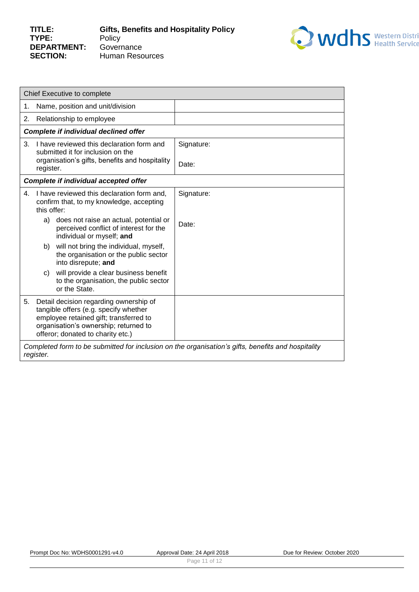

|                | Chief Executive to complete                                                                                                                                                                             |                                                                                                               |            |  |  |  |  |  |  |
|----------------|---------------------------------------------------------------------------------------------------------------------------------------------------------------------------------------------------------|---------------------------------------------------------------------------------------------------------------|------------|--|--|--|--|--|--|
| 1.             |                                                                                                                                                                                                         | Name, position and unit/division                                                                              |            |  |  |  |  |  |  |
| 2.             |                                                                                                                                                                                                         | Relationship to employee                                                                                      |            |  |  |  |  |  |  |
|                |                                                                                                                                                                                                         | <b>Complete if individual declined offer</b>                                                                  |            |  |  |  |  |  |  |
| 3.             |                                                                                                                                                                                                         | I have reviewed this declaration form and<br>submitted it for inclusion on the                                | Signature: |  |  |  |  |  |  |
|                | register.                                                                                                                                                                                               | organisation's gifts, benefits and hospitality                                                                | Date:      |  |  |  |  |  |  |
|                |                                                                                                                                                                                                         | <b>Complete if individual accepted offer</b>                                                                  |            |  |  |  |  |  |  |
| $\mathbf{4}$ . | this offer:                                                                                                                                                                                             | I have reviewed this declaration form and,<br>confirm that, to my knowledge, accepting                        | Signature: |  |  |  |  |  |  |
|                | a)                                                                                                                                                                                                      | does not raise an actual, potential or<br>perceived conflict of interest for the<br>individual or myself; and | Date:      |  |  |  |  |  |  |
|                | b)                                                                                                                                                                                                      | will not bring the individual, myself,<br>the organisation or the public sector<br>into disrepute; and        |            |  |  |  |  |  |  |
|                | C)                                                                                                                                                                                                      | will provide a clear business benefit<br>to the organisation, the public sector<br>or the State.              |            |  |  |  |  |  |  |
| 5.             | Detail decision regarding ownership of<br>tangible offers (e.g. specify whether<br>employee retained gift; transferred to<br>organisation's ownership; returned to<br>offeror; donated to charity etc.) |                                                                                                               |            |  |  |  |  |  |  |
|                | Completed form to be submitted for inclusion on the organisation's gifts, benefits and hospitality<br>register.                                                                                         |                                                                                                               |            |  |  |  |  |  |  |